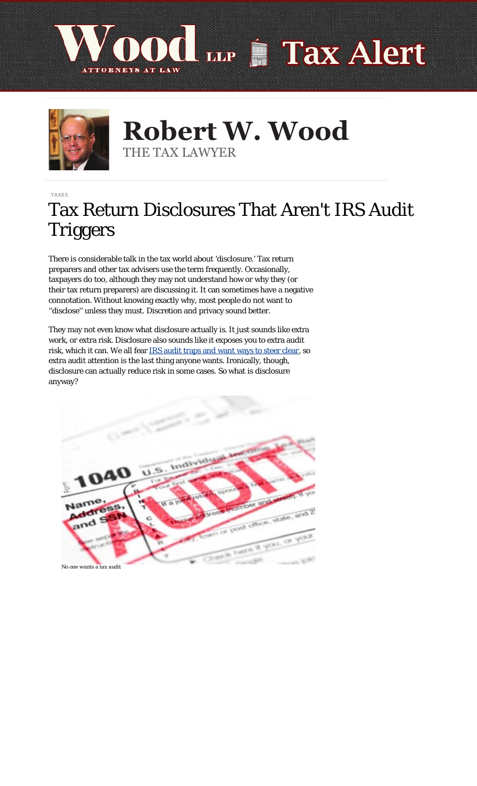



**Robert W. Wood Robert W. Wood** THE TAX LAWYER THE TAX LAWYER

[TAXES](https://www.forbes.com/taxes) 3/14/2017

## Tax Return Disclosures That Aren't IRS Audit Triggers

There is considerable talk in the tax world about 'disclosure.' Tax return preparers and other tax advisers use the term frequently. Occasionally, taxpayers do too, although they may not understand how or why they (or their tax return preparers) are discussing it. It can sometimes have a negative connotation. Without knowing exactly why, most people do not want to ''disclose'' unless they must. Discretion and privacy sound better.

They may not even know what disclosure actually is. It just sounds like extra work, or extra risk. Disclosure also sounds like it exposes you to extra audit risk, which it can. We all fear **IRS** audit traps and want ways to steer clear, so extra audit attention is the *last* thing anyone wants. Ironically, though, disclosure can actually reduce risk in some cases. So what is disclosure anyway?

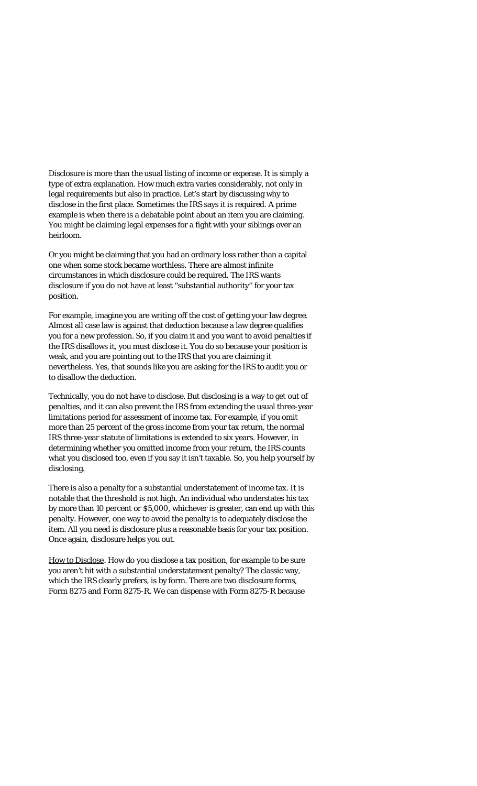Disclosure is more than the usual listing of income or expense. It is simply a type of extra explanation. How much extra varies considerably, not only in legal requirements but also in practice. Let's start by discussing why to disclose in the first place. Sometimes the IRS says it is required. A prime example is when there is a debatable point about an item you are claiming. You might be claiming legal expenses for a fight with your siblings over an heirloom.

Or you might be claiming that you had an ordinary loss rather than a capital one when some stock became worthless. There are almost infinite circumstances in which disclosure could be required. The IRS wants disclosure if you do not have at least ''substantial authority'' for your tax position.

For example, imagine you are writing off the cost of getting your law degree. Almost all case law is against that deduction because a law degree qualifies you for a new profession. So, if you claim it and you want to avoid penalties if the IRS disallows it, you must disclose it. You do so because your position is weak, and you are pointing out to the IRS that you are claiming it nevertheless. Yes, that sounds like you are asking for the IRS to audit you or to disallow the deduction.

Technically, you do not have to disclose. But disclosing is a way to get out of penalties, and it can also prevent the IRS from extending the usual three-year limitations period for assessment of income tax. For example, if you omit more than 25 percent of the gross income from your tax return, the normal IRS three-year statute of limitations is extended to six years. However, in determining whether you omitted income from your return, the IRS counts what you *disclosed* too, even if you say it isn't taxable. So, you help yourself by disclosing.

There is also a penalty for a substantial understatement of income tax. It is notable that the threshold is not high. An individual who understates his tax by more than 10 percent or \$5,000, whichever is greater, can end up with this penalty. However, one way to avoid the penalty is to adequately disclose the item. All you need is disclosure plus a reasonable basis for your tax position. Once again, disclosure helps you out.

How to Disclose. How do you disclose a tax position, for example to be sure you aren't hit with a substantial understatement penalty? The classic way, which the IRS clearly prefers, is by form. There are two disclosure forms, Form 8275 and Form 8275-R. We can dispense with Form 8275-R because